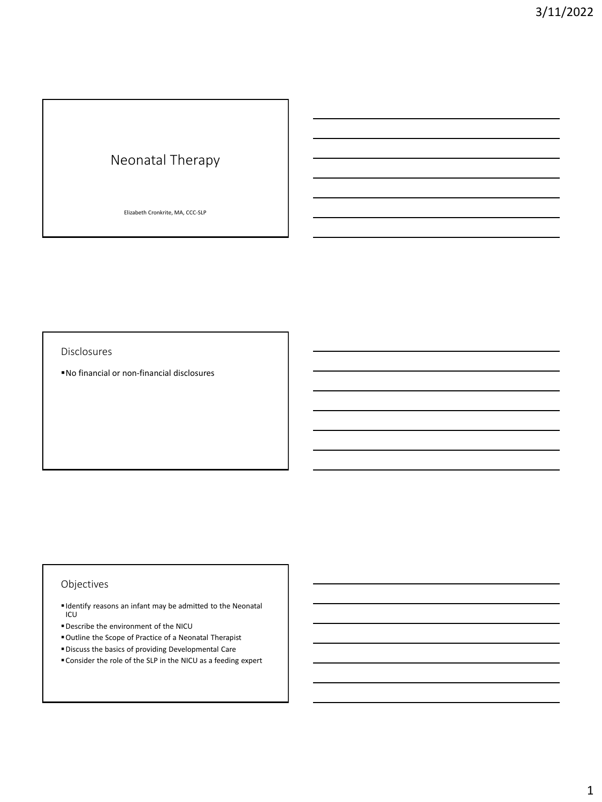# Neonatal Therapy

Elizabeth Cronkrite, MA, CCC-SLP

Disclosures

▪No financial or non-financial disclosures

# Objectives

- Identify reasons an infant may be admitted to the Neonatal ICU
- ▪Describe the environment of the NICU
- ▪Outline the Scope of Practice of a Neonatal Therapist
- ▪Discuss the basics of providing Developmental Care
- ▪Consider the role of the SLP in the NICU as a feeding expert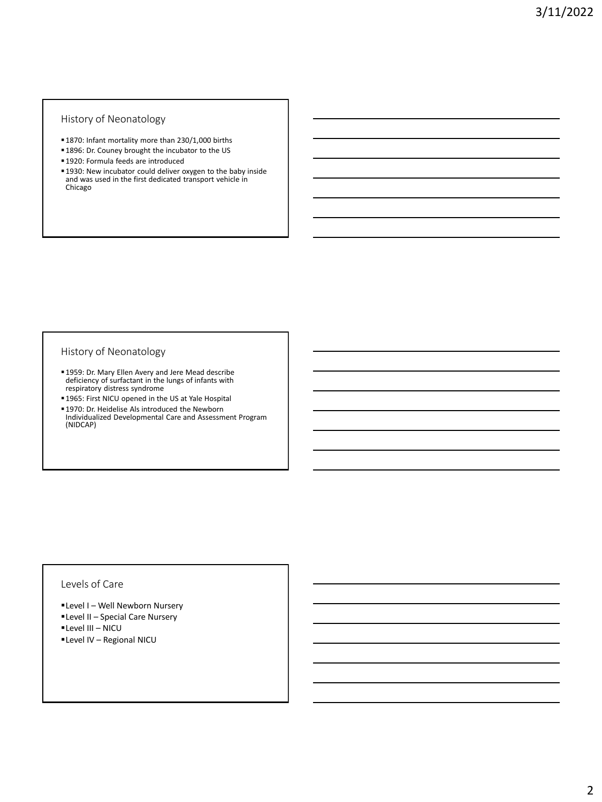### History of Neonatology

- **■1870: Infant mortality more than 230/1,000 births**
- 1896: Dr. Couney brought the incubator to the US
- **1920: Formula feeds are introduced**
- **.** 1930: New incubator could deliver oxygen to the baby inside and was used in the first dedicated transport vehicle in Chicago

#### History of Neonatology

- ▪1959: Dr. Mary Ellen Avery and Jere Mead describe deficiency of surfactant in the lungs of infants with respiratory distress syndrome
- 1965: First NICU opened in the US at Yale Hospital **■1970: Dr. Heidelise Als introduced the Newborn**
- Individualized Developmental Care and Assessment Program (NIDCAP)

## Levels of Care

- **ELevel I Well Newborn Nursery**
- **ELevel II Special Care Nursery**
- ▪Level III NICU
- ▪Level IV Regional NICU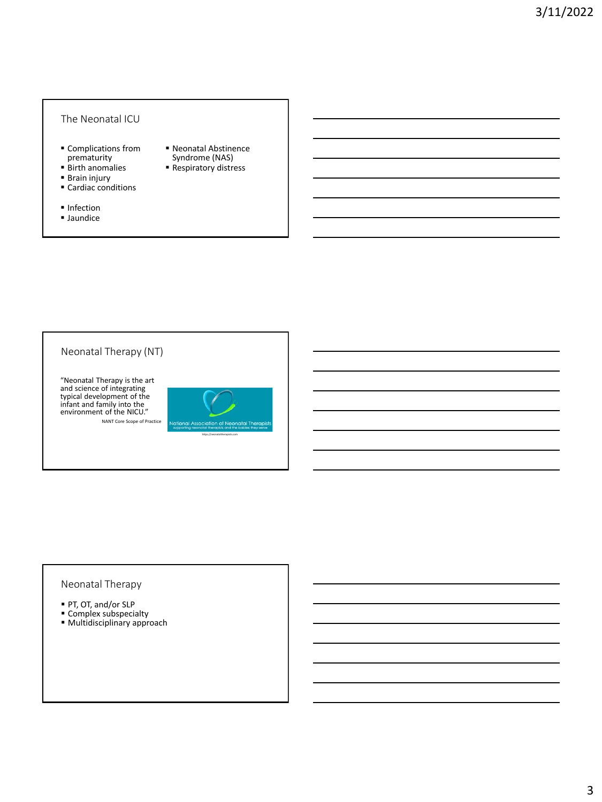### The Neonatal ICU

- Complications from prematurity
- Birth anomalies
- Brain injury
- Cardiac conditions
- Infection
- Jaundice
- Neonatal Abstinence Syndrome (NAS)
- Respiratory distress

# Neonatal Therapy (NT)

"Neonatal Therapy is the art and science of integrating typical development of the infant and family into the environment of the NICU." NANT Core Scope of Practice



https://neonataltherapists.com

# Neonatal Therapy

- PT, OT, and/or SLP
- **Complex subspecialty ■ Multidisciplinary approach**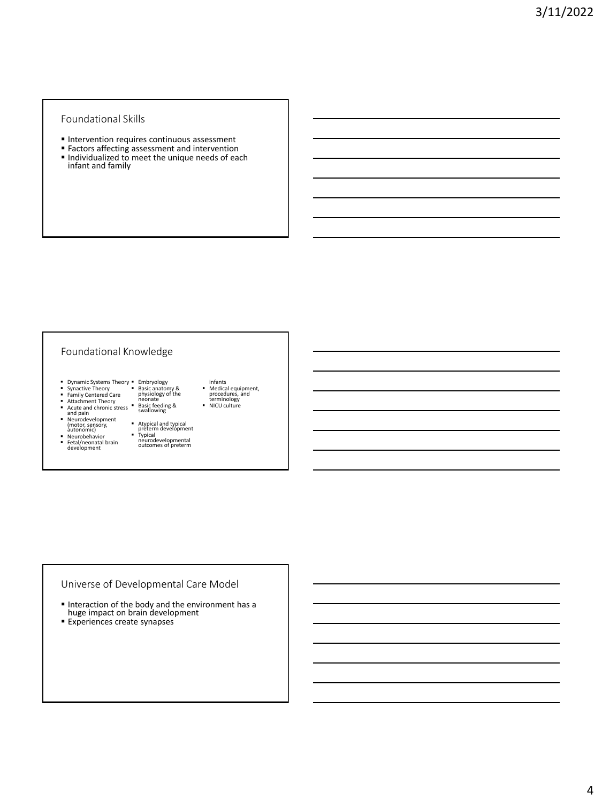#### Foundational Skills

- **Intervention requires continuous assessment**
- **Factors affecting assessment and intervention**
- Individualized to meet the unique needs of each infant and family

### Foundational Knowledge

- Embryology Basic anatomy & physiology of the neonate
- Dynamic Systems Theory Synactive Theory Family Centered Care • Synactive Theory<br>• Family Centered Care<br>• Attachment Theory
- 
- Acute and chronic stress<br>■ Neurodevelopment<br>
(motor, sensory,<br>
autonomic)<br>■ Neurobehavior<br>■ Fetal/neonatal brain<br>
development
	- Basic feeding & swallowing
		- Atypical and typical preterm development
		- Typical
- infants ▪ Medical equipment, procedures, and terminology ▪ NICU culture
- 
- 
- 
- 
- neurodevelopmental outcomes of preterm
- 

# Universe of Developmental Care Model

- Interaction of the body and the environment has a huge impact on brain development
- **Experiences create synapses**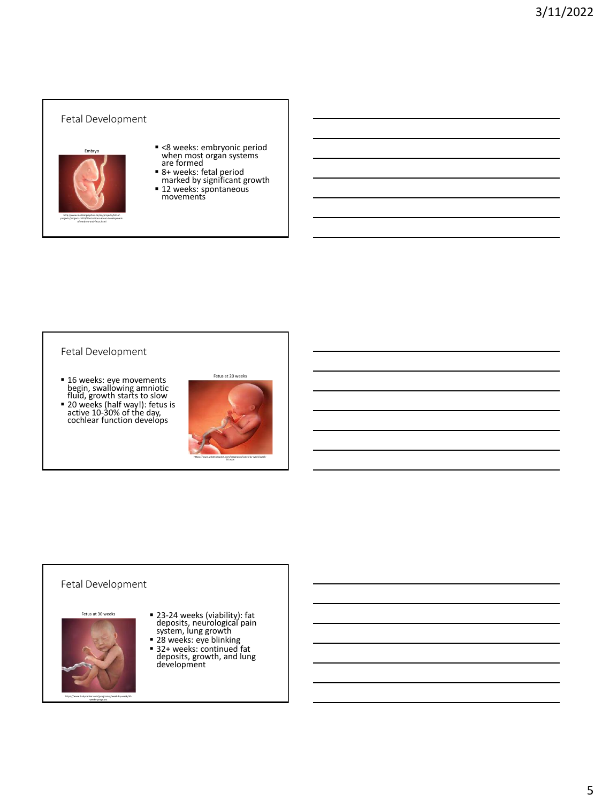# Fetal Development ▪ <8 weeks: embryonic period when most organ systems are formed ■ 8+ weeks: fetal period<br>marked by significant growth ■ 12 weeks: spontaneous movements Embryo http://www.medicalgraphics.de/en/projects/list-ofprojects/projects-2019/illustrations-about-developmentof-embryo-and-fetus.html

### Fetal Development

- 
- 16 weeks: eye movements<br>begin, swallowing amniotic<br>fluid, growth starts to slow<br>■ 20 weeks (half way!): fetus is<br>active 10-30% of the day,<br>cochlear function develops



# Fetal Development



▪ 23-24 weeks (viability): fat deposits, neurological pain system, lung growth ▪ 28 weeks: eye blinking

▪ 32+ weeks: continued fat deposits, growth, and lung development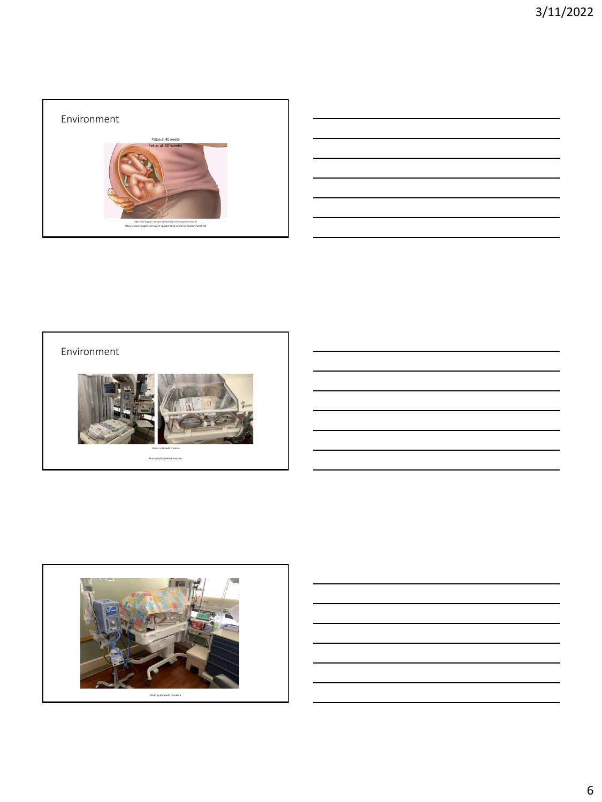

| <u> 1989 - Johann Stoff, deutscher Stoffen und der Stoffen und der Stoffen und der Stoffen und der Stoffen und der</u> |  |  |
|------------------------------------------------------------------------------------------------------------------------|--|--|
|                                                                                                                        |  |  |
| <u> 1989 - Johann Stoff, deutscher Stoffen und der Stoffen und der Stoffen und der Stoffen und der Stoffen und der</u> |  |  |
| <u> 1989 - Johann Stoff, deutscher Stoffen und der Stoffen und der Stoffen und der Stoffen und der Stoffen und der</u> |  |  |
| the control of the control of the control of the control of the control of                                             |  |  |
|                                                                                                                        |  |  |





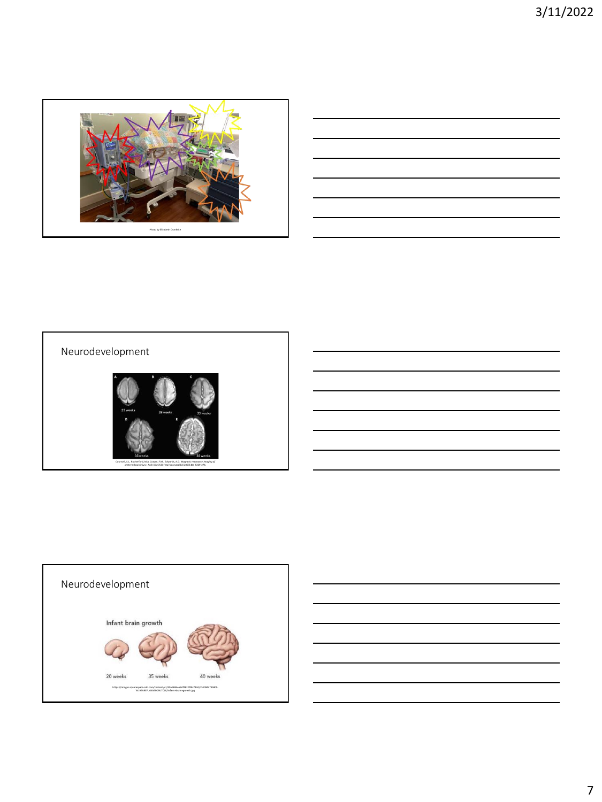

| the control of the control of the control of the control of the control of the control of the control of the control of the control of the control of the control of the control of the control of the control of the control |  |  |
|-------------------------------------------------------------------------------------------------------------------------------------------------------------------------------------------------------------------------------|--|--|
|                                                                                                                                                                                                                               |  |  |
|                                                                                                                                                                                                                               |  |  |
|                                                                                                                                                                                                                               |  |  |
|                                                                                                                                                                                                                               |  |  |
|                                                                                                                                                                                                                               |  |  |
|                                                                                                                                                                                                                               |  |  |
| the control of the control of the control of the control of the control of the control of the control of the control of the control of the control of the control of the control of the control of the control of the control |  |  |
|                                                                                                                                                                                                                               |  |  |
|                                                                                                                                                                                                                               |  |  |
|                                                                                                                                                                                                                               |  |  |
|                                                                                                                                                                                                                               |  |  |
|                                                                                                                                                                                                                               |  |  |



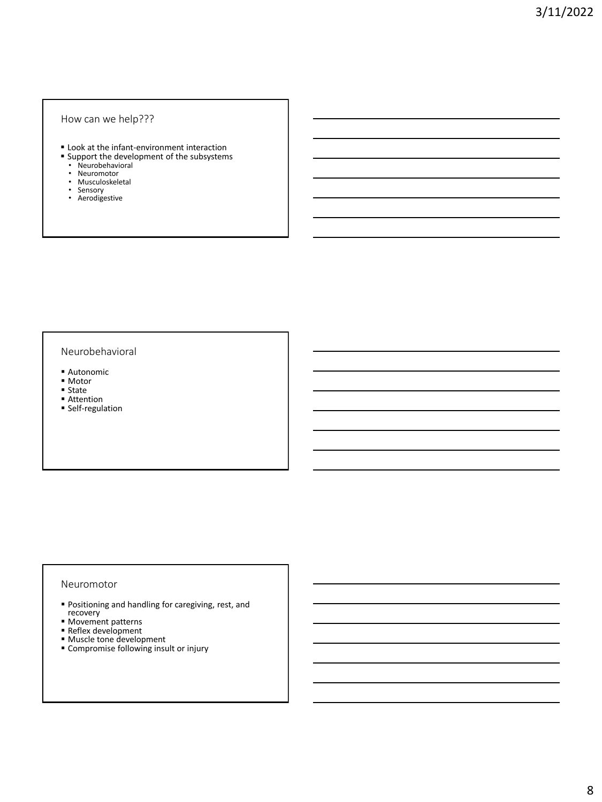#### How can we help???

- **E** Look at the infant-environment interaction
- **B** Support the development of the subsystems
	- Neurobehavioral
	- Neuromotor
- Musculoskeletal
- Sensory Aerodigestive

#### Neurobehavioral

- Autonomic
- Motor
- State
- Attention
- **Self-regulation**

#### Neuromotor

- Positioning and handling for caregiving, rest, and recovery
- Movement patterns
- **Reflex development**
- Muscle tone development
- Compromise following insult or injury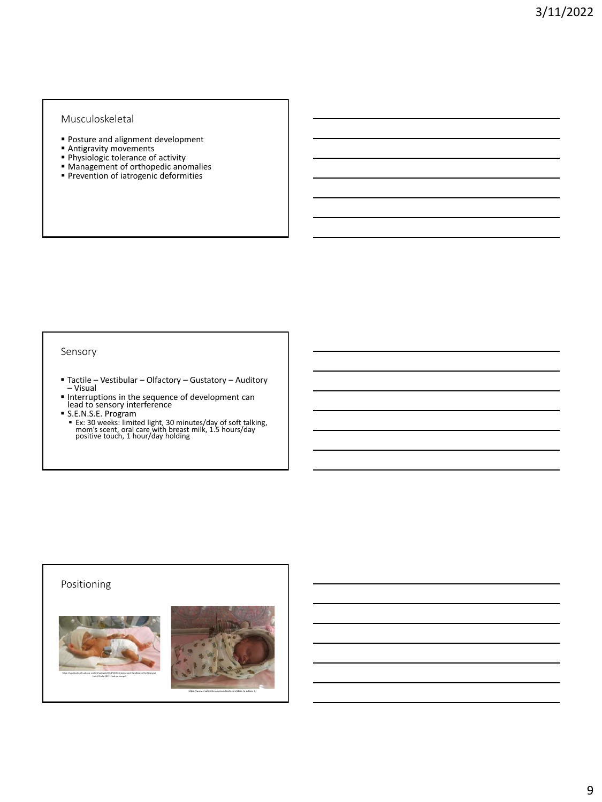### Musculoskeletal

- **Posture and alignment development**
- **Antigravity movements**
- **Physiologic tolerance of activity**
- **Management of orthopedic anomalies**
- **Prevention of iatrogenic deformities**

#### Sensory

- Tactile Vestibular Olfactory Gustatory Auditory<br>– Visual
- 
- 
- Interruptions in the sequence of development can<br>lead to sensory interference<br>■ S.E.N.S.E. Program<br>■ Ex: 30 weeks: limited light, 30 minutes/day of soft talking,<br>mom's scent, oral care with breast milk, 1.5 hours/day<br>po

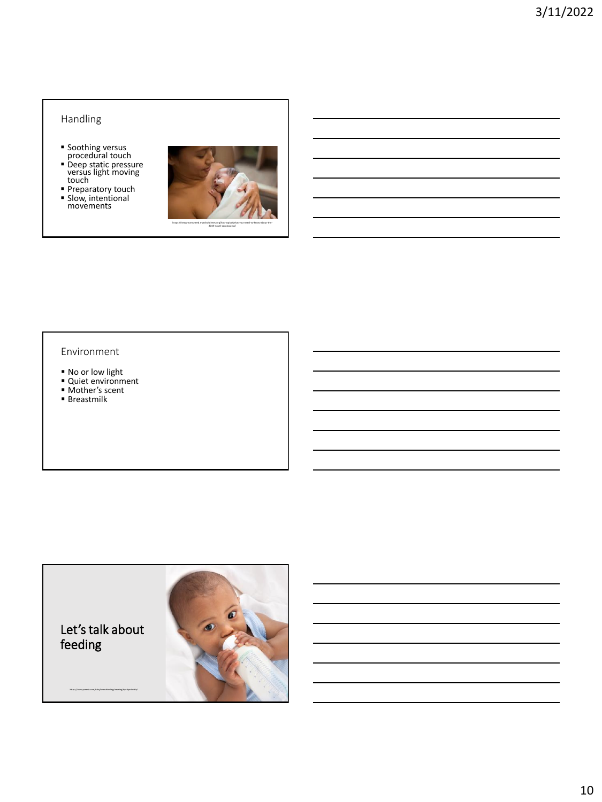# Handling

- 
- Soothing versus procedural touch Deep static pressure versus light moving touch
- **Preparatory touch Slow, intentional movements**



#### Environment

- No or low light
- Quiet environment
- Mother's scent
- **Breastmilk**

feeding

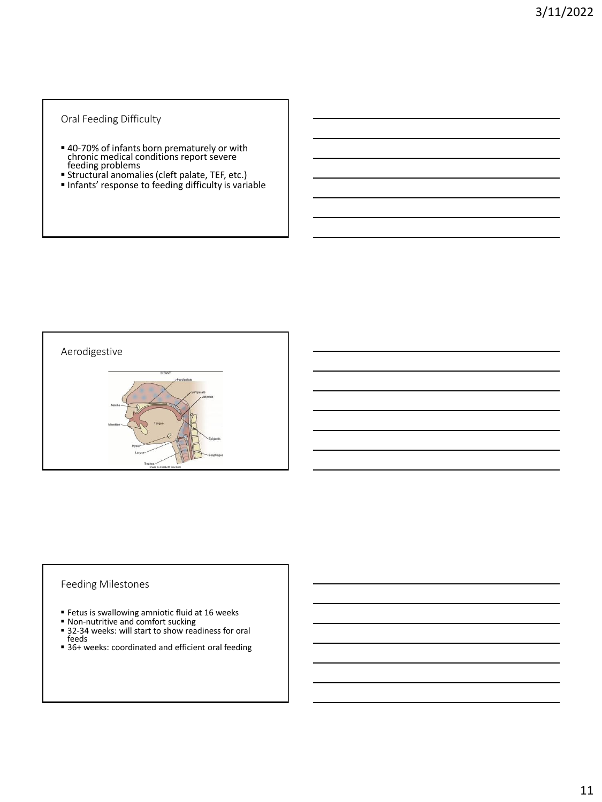### Oral Feeding Difficulty

- 40-70% of infants born prematurely or with chronic medical conditions report severe feeding problems
- Structural anomalies (cleft palate, TEF, etc.)
- **Infants' response to feeding difficulty is variable**



### Feeding Milestones

- **Example 16 Fetus is swallowing amniotic fluid at 16 weeks**
- Non-nutritive and comfort sucking
- 32-34 weeks: will start to show readiness for oral feeds
- 36+ weeks: coordinated and efficient oral feeding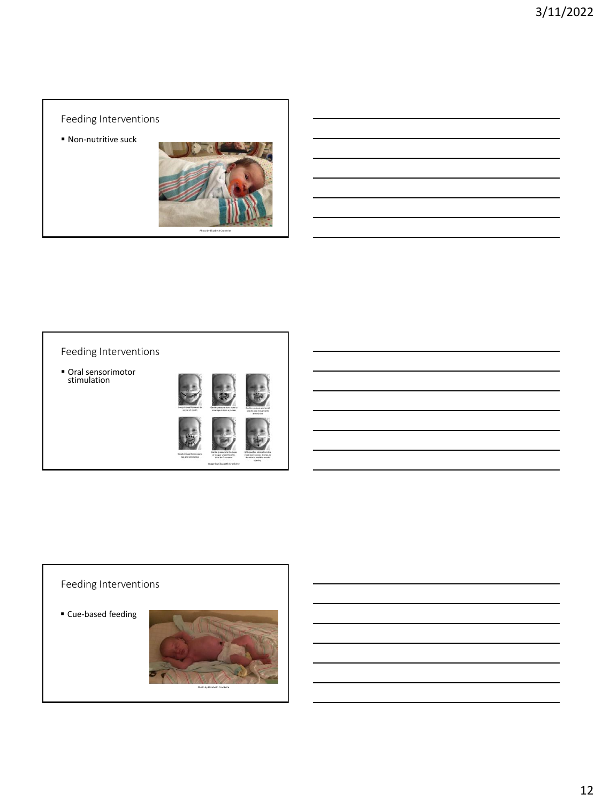# Feeding Interventions

■ Non-nutritive suck



# Feeding Interventions

■ Oral sensorimotor<br>stimulation



Image by Elizabeth Cronkrite

# Feeding Interventions

■ Cue-based feeding

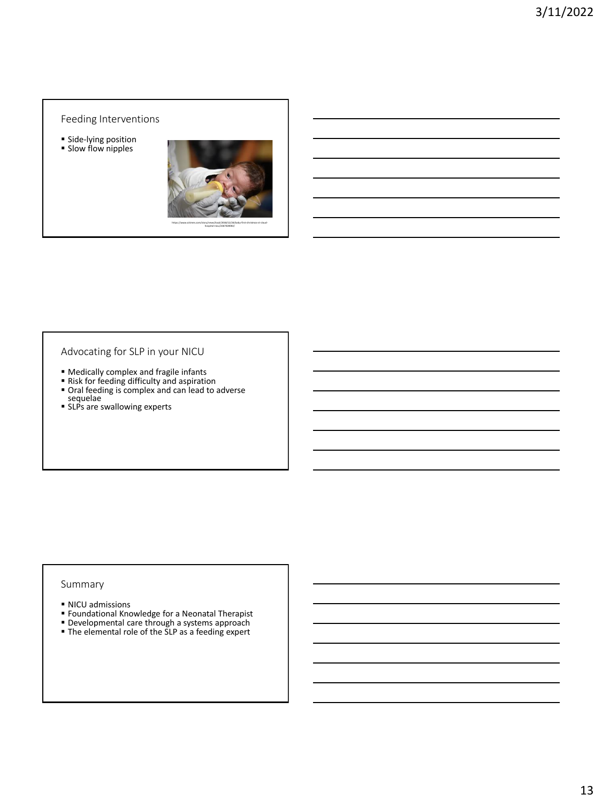#### Feeding Interventions

**·** Side-lying position **·** Slow flow nipples



Advocating for SLP in your NICU

- **Medically complex and fragile infants**
- Risk for feeding difficulty and aspiration
- **Oral feeding is complex and can lead to adverse** sequelae
- SLPs are swallowing experts

#### Summary

- NICU admissions
- Foundational Knowledge for a Neonatal Therapist
- **Developmental care through a systems approach**
- **The elemental role of the SLP as a feeding expert**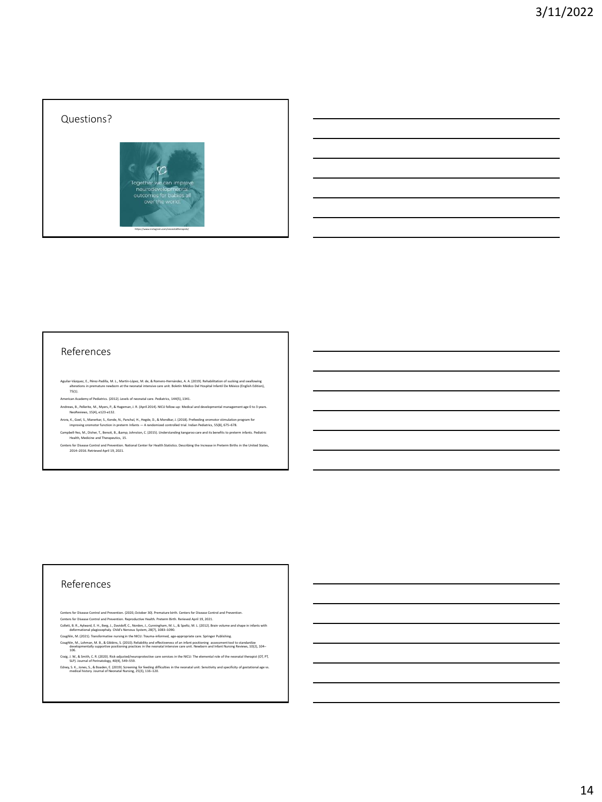## Questions?



#### References

- Aguilar-Vázquez, E., Pérez-Padilla, M. L., Martin-López, M. de, & Romero-Hernández, A. A. (2019). Rehabilitation of sucking and swallowing<br>alterations in premature newborn at the neonatal intensive care unit. Boletin Médi
- American Academy of Pediatrics. (2012). Levels of neonatal care. Pediatrics, 144(5), 1341. Andrews, B., Pellerite, M., Myers, P., & Hageman, J. R. (April 2014). NICU follow-up: Medical and developmental management age 0 to 3 years. NeoReviews, 15(4), e123-e132.
- Arora, K., Goel, S., Manerkar, S., Konde, N., Panchal, H., Hegde, D., & Mondkar, J. (2018). Prefeeding oromotor stimulation program for<br>improving oromotor function in preterm Infants A randomized controlled trial. Indian
- Campbell-Yeo, M., Disher, T., Benoit, B., & Johnston, C. (2015). Understanding kangaroo care and its benefits to preterm infants. Pediatric<br>Health, Medicine and Therapeutics, 15.
- Centers for Disease Control and Prevention. National Center for Health Statistics. Describing the Increase in Preterm Births in the United States, 2014–2016. Retrieved April 19, 2021.

#### References

- Centers for Disease Control and Prevention. (2020, October 30). Premature birth. Centers for Disease Control and Prevention.<br>Centers for Disease Control and Prevention. Reproductive Health. Preterm Birth. Rerieved April 19
- Collett, B. R., Aylward, E. H., Berg, J., Davidoff, C., Norden, J., Cunningham, M. L., Speltz, M. L. (2012). Brain volume and shape in infants with<br>Celorunational plagiocephaly: Child's Nervous System, 28(7), 1083–1090.<br>Co
- Coughlin, M., Lohman, M. B., & Gibbins, S. (2010). Reliability and effectiveness of an infant positioning assessment tool to standardize<br>developmentally supportive positioning practices in the neonatal intensive care unit.
- Craig, J. W., & Smith, C. R. (2020). Risk-adjusted/neuroprotective care services in the NICU: The elemental role of the neonatal therapist (OT, PT, SLP). Journal of Perinatology, 40(4), 549–559. Edney, S. K., Jones, S., & Boaden, E. (2019). Screening for feeding difficulties in the neonatal unit: Sensitivity and specificity of gestational age vs. medical history. Journal of Neonatal Nursing, 25(3), 116–120.